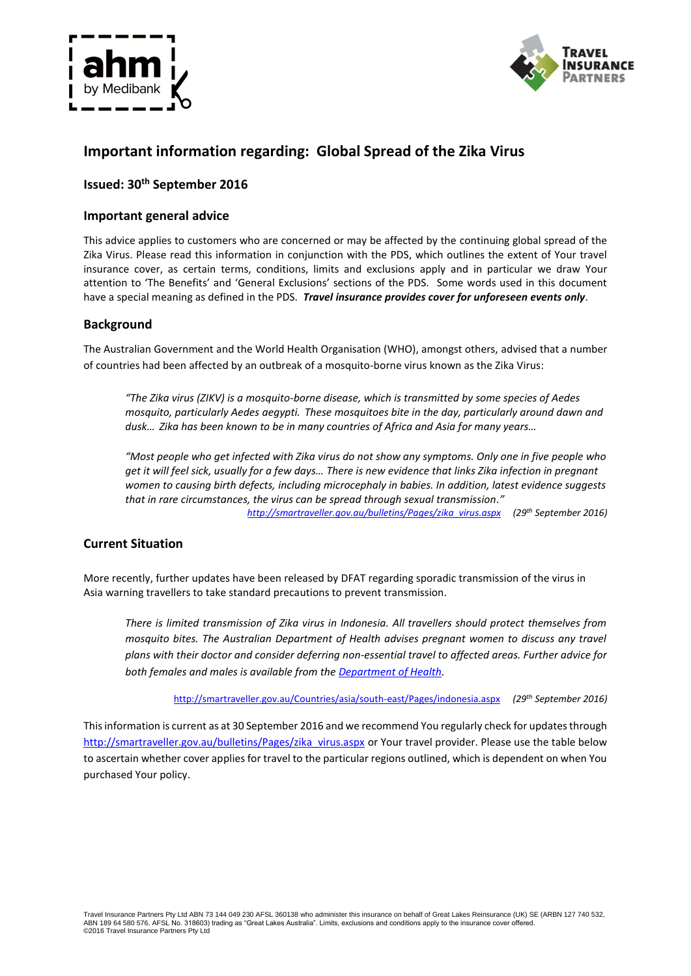



# **Important information regarding: Global Spread of the Zika Virus**

### **Issued: 30th September 2016**

### **Important general advice**

This advice applies to customers who are concerned or may be affected by the continuing global spread of the Zika Virus. Please read this information in conjunction with the PDS, which outlines the extent of Your travel insurance cover, as certain terms, conditions, limits and exclusions apply and in particular we draw Your attention to 'The Benefits' and 'General Exclusions' sections of the PDS. Some words used in this document have a special meaning as defined in the PDS. *Travel insurance provides cover for unforeseen events only*.

### **Background**

The Australian Government and the World Health Organisation (WHO), amongst others, advised that a number of countries had been affected by an outbreak of a mosquito-borne virus known as the Zika Virus:

*"The Zika virus (ZIKV) is a mosquito-borne disease, which is transmitted by some species of Aedes mosquito, particularly Aedes aegypti. These mosquitoes bite in the day, particularly around dawn and dusk… Zika has been known to be in many countries of Africa and Asia for many years…*

*"Most people who get infected with Zika virus do not show any symptoms. Only one in five people who get it will feel sick, usually for a few days… There is new evidence that links Zika infection in pregnant women to causing birth defects, including microcephaly in babies. In addition, latest evidence suggests that in rare circumstances, the virus can be spread through sexual transmission." [http://smartraveller.gov.au/bulletins/Pages/zika\\_virus.aspx](http://smartraveller.gov.au/bulletins/Pages/zika_virus.aspx) (29th September 2016)*

## **Current Situation**

More recently, further updates have been released by DFAT regarding sporadic transmission of the virus in Asia warning travellers to take standard precautions to prevent transmission.

*There is limited transmission of Zika virus in Indonesia. All travellers should protect themselves from mosquito bites. The Australian Department of Health advises pregnant women to discuss any travel plans with their doctor and consider deferring non-essential travel to affected areas. Further advice for both females and males is available from the [Department of Health.](http://www.health.gov.au/internet/main/publishing.nsf/Content/ohp-zika-countries.htm)*

<http://smartraveller.gov.au/Countries/asia/south-east/Pages/indonesia.aspx> *(29th September 2016)*

This information is current as at 30 September 2016 and we recommend You regularly check for updates through [http://smartraveller.gov.au/bulletins/Pages/zika\\_virus.aspx](http://smartraveller.gov.au/bulletins/Pages/zika_virus.aspx) or Your travel provider. Please use the table below to ascertain whether cover applies for travel to the particular regions outlined, which is dependent on when You purchased Your policy.